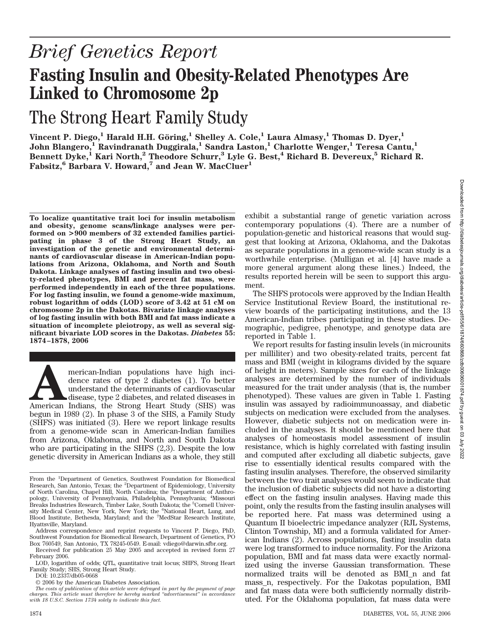# *Brief Genetics Report* **Fasting Insulin and Obesity-Related Phenotypes Are Linked to Chromosome 2p**

## The Strong Heart Family Study

<code>Vincent P. Diego, $^1$  Harald H.H. Göring, $^1$  Shelley A. Cole, $^1$  Laura Almasy, $^1$  Thomas D. Dyer, $^1$ </code> **John Blangero,1 Ravindranath Duggirala,1 Sandra Laston,1 Charlotte Wenger,1 Teresa Cantu,1 Bennett Dyke,1 Kari North,2 Theodore Schurr,3 Lyle G. Best,4 Richard B. Devereux,5 Richard R. Fabsitz,6 Barbara V. Howard,7 and Jean W. MacCluer1**

**To localize quantitative trait loci for insulin metabolism and obesity, genome scans/linkage analyses were performed on >900 members of 32 extended families participating in phase 3 of the Strong Heart Study, an investigation of the genetic and environmental determinants of cardiovascular disease in American-Indian populations from Arizona, Oklahoma, and North and South Dakota. Linkage analyses of fasting insulin and two obesity-related phenotypes, BMI and percent fat mass, were performed independently in each of the three populations. For log fasting insulin, we found a genome-wide maximum, robust logarithm of odds (LOD) score of 3.42 at 51 cM on chromosome 2p in the Dakotas. Bivariate linkage analyses of log fasting insulin with both BMI and fat mass indicate a situation of incomplete pleiotropy, as well as several significant bivariate LOD scores in the Dakotas.** *Diabetes* **55: 1874–1878, 2006**

merican-Indian populations have high incidence rates of type 2 diabetes (1). To better understand the determinants of cardiovascular disease, type 2 diabetes, and related diseases in American Indians, the Strong Heart Stud dence rates of type 2 diabetes (1). To better understand the determinants of cardiovascular disease, type 2 diabetes, and related diseases in begun in 1989 (2). In phase 3 of the SHS, a Family Study (SHFS) was initiated (3). Here we report linkage results from a genome-wide scan in American-Indian families from Arizona, Oklahoma, and North and South Dakota who are participating in the SHFS (2,3). Despite the low genetic diversity in American Indians as a whole, they still

DOI: 10.2337/db05-0668

exhibit a substantial range of genetic variation across contemporary populations (4). There are a number of population-genetic and historical reasons that would suggest that looking at Arizona, Oklahoma, and the Dakotas as separate populations in a genome-wide scan study is a worthwhile enterprise. (Mulligan et al. [4] have made a more general argument along these lines.) Indeed, the results reported herein will be seen to support this argument.

The SHFS protocols were approved by the Indian Health Service Institutional Review Board, the institutional review boards of the participating institutions, and the 13 American-Indian tribes participating in these studies. Demographic, pedigree, phenotype, and genotype data are reported in Table 1.

We report results for fasting insulin levels (in microunits per milliliter) and two obesity-related traits, percent fat mass and BMI (weight in kilograms divided by the square of height in meters). Sample sizes for each of the linkage analyses are determined by the number of individuals measured for the trait under analysis (that is, the number phenotyped). These values are given in Table 1. Fasting insulin was assayed by radioimmunoassay, and diabetic subjects on medication were excluded from the analyses. However, diabetic subjects not on medication were included in the analyses. It should be mentioned here that analyses of homeostasis model assessment of insulin resistance, which is highly correlated with fasting insulin and computed after excluding all diabetic subjects, gave rise to essentially identical results compared with the fasting insulin analyses. Therefore, the observed similarity between the two trait analyses would seem to indicate that the inclusion of diabetic subjects did not have a distorting effect on the fasting insulin analyses. Having made this point, only the results from the fasting insulin analyses will be reported here. Fat mass was determined using a Quantum II bioelectric impedance analyzer (RJL Systems, Clinton Township, MI) and a formula validated for American Indians (2). Across populations, fasting insulin data were log transformed to induce normality. For the Arizona population, BMI and fat mass data were exactly normalized using the inverse Gaussian transformation. These normalized traits will be denoted as BMI\_n and fat mass\_n, respectively. For the Dakotas population, BMI and fat mass data were both sufficiently normally distributed. For the Oklahoma population, fat mass data were

From the <sup>1</sup>Department of Genetics, Southwest Foundation for Biomedical<br>Research, San Antonio, Texas; the <sup>2</sup>Department of Epidemiology, University of North Carolina, Chapel Hill, North Carolina; the <sup>3</sup>Department of Anthropology, University of Pennsylvania, Philadelphia, Pennsylvania; <sup>4</sup> Missouri Breaks Industries Research, Timber Lake, South Dakota; the <sup>5</sup>Cornell University Medical Center, New York, New York; the <sup>6</sup>National Heart, Lung, and Blood Institute, Bethesda, Maryland; and the <sup>7</sup> MedStar Research Institute, Hyattsville, Maryland.

Address correspondence and reprint requests to Vincent P. Diego, PhD, Southwest Foundation for Biomedical Research, Department of Genetics, PO Box 760549, San Antonio, TX 78245-0549. E-mail: vdiego@darwin.sfbr.org.

Received for publication 25 May 2005 and accepted in revised form 27 February 2006.

LOD, logarithm of odds; QTL, quantitative trait locus; SHFS, Strong Heart Family Study; SHS, Strong Heart Study.

<sup>© 2006</sup> by the American Diabetes Association.

*The costs of publication of this article were defrayed in part by the payment of page charges. This article must therefore be hereby marked "advertisement" in accordance with 18 U.S.C. Section 1734 solely to indicate this fact.*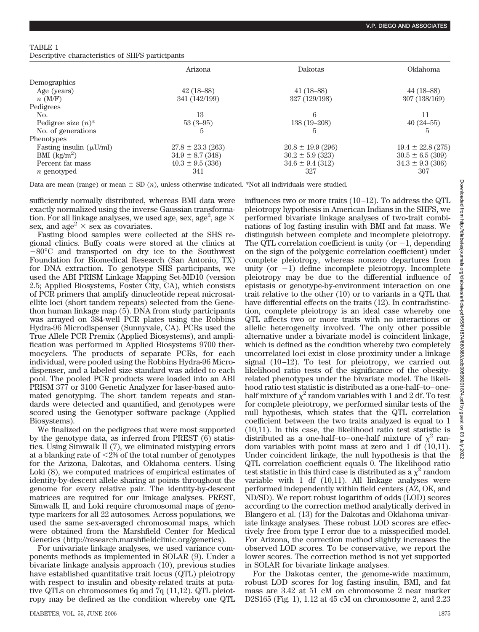#### TABLE 1

Descriptive characteristics of SHFS participants

|                                   | Arizona               | <b>Dakotas</b>        | <b>Oklahoma</b>       |
|-----------------------------------|-----------------------|-----------------------|-----------------------|
| Demographics                      |                       |                       |                       |
| Age (years)                       | $42(18-88)$           | $41(18-88)$           | $44(18-88)$           |
| $n$ (M/F)                         | 341 (142/199)         | 327 (129/198)         | 307 (138/169)         |
| Pedigrees                         |                       |                       |                       |
| No.                               | 13                    | 6                     | 11                    |
| Pedigree size $(n)^*$             | $53(3-95)$            | $138(19-208)$         | $40(24-55)$           |
| No. of generations                | 5                     | 5                     | 5                     |
| Phenotypes                        |                       |                       |                       |
| Fasting insulin $(\mu U/ml)$      | $27.8 \pm 23.3$ (263) | $20.8 \pm 19.9$ (296) | $19.4 \pm 22.8$ (275) |
| BMI $\left(\frac{kg}{m^2}\right)$ | $34.9 \pm 8.7$ (348)  | $30.2 \pm 5.9$ (323)  | $30.5 \pm 6.5$ (309)  |
| Percent fat mass                  | $40.3 \pm 9.5$ (336)  | $34.6 \pm 9.4$ (312)  | $34.3 \pm 9.3$ (306)  |
| $n$ genotyped                     | 341                   | 327                   | 307                   |

Data are mean (range) or mean  $\pm$  SD  $(n)$ , unless otherwise indicated. \*Not all individuals were studied.

sufficiently normally distributed, whereas BMI data were exactly normalized using the inverse Gaussian transformation. For all linkage analyses, we used age, sex, age $^2$ , age  $\times$ sex, and age<sup>2</sup>  $\times$  sex as covariates.

Fasting blood samples were collected at the SHS regional clinics. Buffy coats were stored at the clinics at -80°C and transported on dry ice to the Southwest Foundation for Biomedical Research (San Antonio, TX) for DNA extraction. To genotype SHS participants, we used the ABI PRISM Linkage Mapping Set-MD10 (version 2.5; Applied Biosystems, Foster City, CA), which consists of PCR primers that amplify dinucleotide repeat microsatellite loci (short tandem repeats) selected from the Genethon human linkage map (5). DNA from study participants was arrayed on 384-well PCR plates using the Robbins Hydra-96 Microdispenser (Sunnyvale, CA). PCRs used the True Allele PCR Premix (Applied Biosystems), and amplification was performed in Applied Biosystems 9700 thermocyclers. The products of separate PCRs, for each individual, were pooled using the Robbins Hydra-96 Microdispenser, and a labeled size standard was added to each pool. The pooled PCR products were loaded into an ABI PRISM 377 or 3100 Genetic Analyzer for laser-based automated genotyping. The short tandem repeats and standards were detected and quantified, and genotypes were scored using the Genotyper software package (Applied Biosystems).

We finalized on the pedigrees that were most supported by the genotype data, as inferred from PREST (6) statistics. Using Simwalk II (7), we eliminated mistyping errors at a blanking rate of  $\leq$ 2% of the total number of genotypes for the Arizona, Dakotas, and Oklahoma centers. Using Loki (8), we computed matrices of empirical estimates of identity-by-descent allele sharing at points throughout the genome for every relative pair. The identity-by-descent matrices are required for our linkage analyses. PREST, Simwalk II, and Loki require chromosomal maps of genotype markers for all 22 autosomes. Across populations, we used the same sex-averaged chromosomal maps, which were obtained from the Marshfield Center for Medical Genetics (http://research.marshfieldclinic.org/genetics).

For univariate linkage analyses, we used variance components methods as implemented in SOLAR (9). Under a bivariate linkage analysis approach (10), previous studies have established quantitative trait locus (QTL) pleiotropy with respect to insulin and obesity-related traits at putative QTLs on chromosomes 6q and 7q (11,12). QTL pleiotropy may be defined as the condition whereby one QTL influences two or more traits (10 –12). To address the QTL pleiotropy hypothesis in American Indians in the SHFS, we performed bivariate linkage analyses of two-trait combinations of log fasting insulin with BMI and fat mass. We distinguish between complete and incomplete pleiotropy. The QTL correlation coefficient is unity (or  $-1$ , depending on the sign of the polygenic correlation coefficient) under complete pleiotropy, whereas nonzero departures from unity (or  $-1$ ) define incomplete pleiotropy. Incomplete pleiotropy may be due to the differential influence of epistasis or genotype-by-environment interaction on one trait relative to the other (10) or to variants in a QTL that have differential effects on the traits (12). In contradistinction, complete pleiotropy is an ideal case whereby one QTL affects two or more traits with no interactions or allelic heterogeneity involved. The only other possible alternative under a bivariate model is coincident linkage, which is defined as the condition whereby two completely uncorrelated loci exist in close proximity under a linkage signal  $(10-12)$ . To test for pleiotropy, we carried out likelihood ratio tests of the significance of the obesityrelated phenotypes under the bivariate model. The likelihood ratio test statistic is distributed as a one-half–to– onehalf mixture of  $\chi^2$  random variables with 1 and 2 df. To test for complete pleiotropy, we performed similar tests of the null hypothesis, which states that the QTL correlation coefficient between the two traits analyzed is equal to 1 (10,11). In this case, the likelihood ratio test statistic is distributed as a one-half–to–one-half mixture of  $\chi^2$  random variables with point mass at zero and 1 df (10,11). Under coincident linkage, the null hypothesis is that the QTL correlation coefficient equals 0. The likelihood ratio test statistic in this third case is distributed as a  $\chi^2$  random variable with  $1$  df  $(10,11)$ . All linkage analyses were performed independently within field centers (AZ, OK, and ND/SD). We report robust logarithm of odds (LOD) scores according to the correction method analytically derived in Blangero et al. (13) for the Dakotas and Oklahoma univariate linkage analyses. These robust LOD scores are effectively free from type I error due to a misspecified model. For Arizona, the correction method slightly increases the observed LOD scores. To be conservative, we report the lower scores. The correction method is not yet supported in SOLAR for bivariate linkage analyses.

For the Dakotas center, the genome-wide maximum, robust LOD scores for log fasting insulin, BMI, and fat mass are 3.42 at 51 cM on chromosome 2 near marker D2S165 (Fig. 1), 1.12 at 45 cM on chromosome 2, and 2.23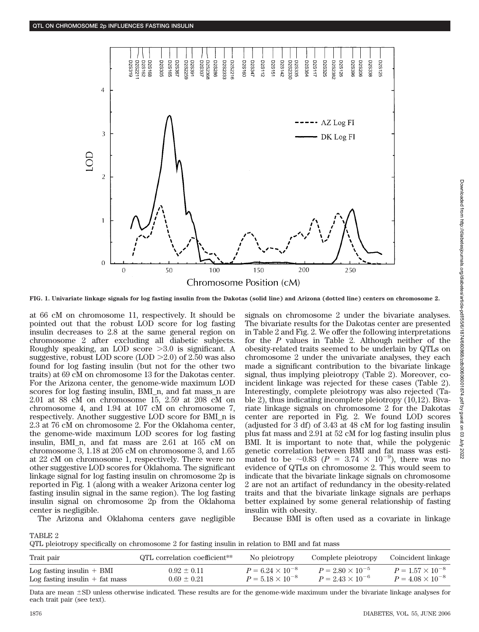

**FIG. 1. Univariate linkage signals for log fasting insulin from the Dakotas (solid line) and Arizona (dotted line) centers on chromosome 2.**

at 66 cM on chromosome 11, respectively. It should be pointed out that the robust LOD score for log fasting insulin decreases to 2.8 at the same general region on chromosome 2 after excluding all diabetic subjects. Roughly speaking, an LOD score  $>3.0$  is significant. A suggestive, robust LOD score (LOD  $>2.0$ ) of 2.50 was also found for log fasting insulin (but not for the other two traits) at 69 cM on chromosome 13 for the Dakotas center. For the Arizona center, the genome-wide maximum LOD scores for log fasting insulin, BMI n, and fat mass n are 2.01 at 88 cM on chromosome 15, 2.59 at 208 cM on chromosome 4, and 1.94 at 107 cM on chromosome 7, respectively. Another suggestive LOD score for BMI\_n is 2.3 at 76 cM on chromosome 2. For the Oklahoma center, the genome-wide maximum LOD scores for log fasting insulin, BMI\_n, and fat mass are 2.61 at 165 cM on chromosome 3, 1.18 at 205 cM on chromosome 3, and 1.65 at 22 cM on chromosome 1, respectively. There were no other suggestive LOD scores for Oklahoma. The significant linkage signal for log fasting insulin on chromosome 2p is reported in Fig. 1 (along with a weaker Arizona center log fasting insulin signal in the same region). The log fasting insulin signal on chromosome 2p from the Oklahoma center is negligible. The Arizona and Oklahoma centers gave negligible

signals on chromosome 2 under the bivariate analyses. The bivariate results for the Dakotas center are presented in Table 2 and Fig. 2. We offer the following interpretations for the *P* values in Table 2. Although neither of the obesity-related traits seemed to be underlain by QTLs on chromosome 2 under the univariate analyses, they each made a significant contribution to the bivariate linkage signal, thus implying pleiotropy (Table 2). Moreover, coincident linkage was rejected for these cases (Table 2). Interestingly, complete pleiotropy was also rejected (Table 2), thus indicating incomplete pleiotropy (10,12). Bivariate linkage signals on chromosome 2 for the Dakotas center are reported in Fig. 2. We found LOD scores (adjusted for 3 df) of 3.43 at 48 cM for log fasting insulin plus fat mass and 2.91 at 52 cM for log fasting insulin plus BMI. It is important to note that, while the polygenic genetic correlation between BMI and fat mass was estimated to be  $\sim 0.83$  ( $P = 3.74 \times 10^{-9}$ ), there was no evidence of QTLs on chromosome 2. This would seem to indicate that the bivariate linkage signals on chromosome 2 are not an artifact of redundancy in the obesity-related traits and that the bivariate linkage signals are perhaps better explained by some general relationship of fasting insulin with obesity. Because BMI is often used as a covariate in linkage

TABLE 2

QTL pleiotropy specifically on chromosome 2 for fasting insulin in relation to BMI and fat mass

| QTL correlation coefficient <sup>**</sup> | No pleiotropy             | Complete pleiotropy       | Coincident linkage                                     |
|-------------------------------------------|---------------------------|---------------------------|--------------------------------------------------------|
| $0.92 \pm 0.11$                           | $P = 6.24 \times 10^{-8}$ | $P = 2.80 \times 10^{-5}$ | $P = 1.57 \times 10^{-8}$<br>$P = 4.08 \times 10^{-8}$ |
|                                           | $0.69 \pm 0.21$           | $P = 5.18 \times 10^{-8}$ | $P = 2.43 \times 10^{-6}$                              |

Data are mean  $\pm$ SD unless otherwise indicated. These results are for the genome-wide maximum under the bivariate linkage analyses for each trait pair (see text).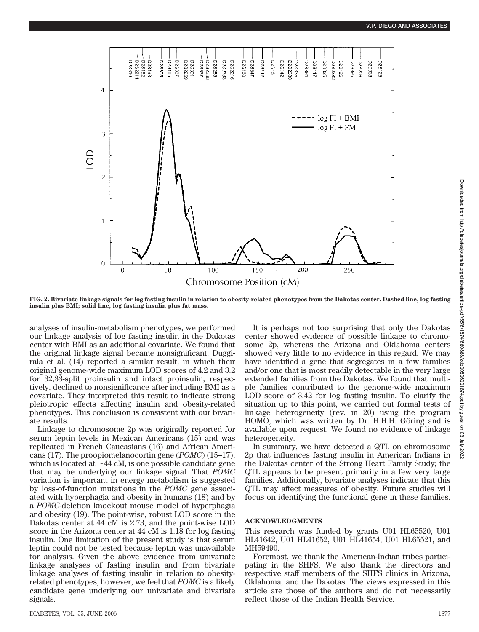

**FIG. 2. Bivariate linkage signals for log fasting insulin in relation to obesity-related phenotypes from the Dakotas center. Dashed line, log fasting insulin plus BMI; solid line, log fasting insulin plus fat mass.**

analyses of insulin-metabolism phenotypes, we performed our linkage analysis of log fasting insulin in the Dakotas center with BMI as an additional covariate. We found that the original linkage signal became nonsignificant. Duggirala et al. (14) reported a similar result, in which their original genome-wide maximum LOD scores of 4.2 and 3.2 for 32,33-split proinsulin and intact proinsulin, respectively, declined to nonsignificance after including BMI as a covariate. They interpreted this result to indicate strong pleiotropic effects affecting insulin and obesity-related phenotypes. This conclusion is consistent with our bivariate results.

Linkage to chromosome 2p was originally reported for serum leptin levels in Mexican Americans (15) and was replicated in French Caucasians (16) and African Americans (17). The proopiomelanocortin gene (*POMC*) (15–17), which is located at  $\sim$  44 cM, is one possible candidate gene that may be underlying our linkage signal. That *POMC* variation is important in energy metabolism is suggested by loss-of-function mutations in the *POMC* gene associated with hyperphagia and obesity in humans (18) and by a *POMC*-deletion knockout mouse model of hyperphagia and obesity (19). The point-wise, robust LOD score in the Dakotas center at 44 cM is 2.73, and the point-wise LOD score in the Arizona center at 44 cM is 1.18 for log fasting insulin. One limitation of the present study is that serum leptin could not be tested because leptin was unavailable for analysis. Given the above evidence from univariate linkage analyses of fasting insulin and from bivariate linkage analyses of fasting insulin in relation to obesityrelated phenotypes, however, we feel that *POMC* is a likely candidate gene underlying our univariate and bivariate signals.

It is perhaps not too surprising that only the Dakotas center showed evidence of possible linkage to chromosome 2p, whereas the Arizona and Oklahoma centers showed very little to no evidence in this regard. We may have identified a gene that segregates in a few families and/or one that is most readily detectable in the very large extended families from the Dakotas. We found that multiple families contributed to the genome-wide maximum LOD score of 3.42 for log fasting insulin. To clarify the situation up to this point, we carried out formal tests of linkage heterogeneity (rev. in 20) using the program HOMO, which was written by Dr. H.H.H. Göring and is available upon request. We found no evidence of linkage heterogeneity.

In summary, we have detected a QTL on chromosome 2p that influences fasting insulin in American Indians in the Dakotas center of the Strong Heart Family Study; the QTL appears to be present primarily in a few very large families. Additionally, bivariate analyses indicate that this QTL may affect measures of obesity. Future studies will focus on identifying the functional gene in these families.

### **ACKNOWLEDGMENTS**

This research was funded by grants U01 HL65520, U01 HL41642, U01 HL41652, U01 HL41654, U01 HL65521, and MH59490.

Foremost, we thank the American-Indian tribes participating in the SHFS. We also thank the directors and respective staff members of the SHFS clinics in Arizona, Oklahoma, and the Dakotas. The views expressed in this article are those of the authors and do not necessarily reflect those of the Indian Health Service.